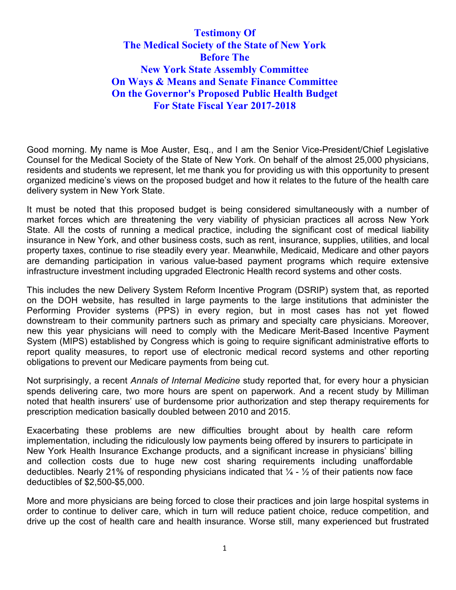**Testimony Of The Medical Society of the State of New York Before The New York State Assembly Committee On Ways & Means and Senate Finance Committee On the Governor's Proposed Public Health Budget For State Fiscal Year 2017-2018**

Good morning. My name is Moe Auster, Esq., and I am the Senior Vice-President/Chief Legislative Counsel for the Medical Society of the State of New York. On behalf of the almost 25,000 physicians, residents and students we represent, let me thank you for providing us with this opportunity to present organized medicine's views on the proposed budget and how it relates to the future of the health care delivery system in New York State.

It must be noted that this proposed budget is being considered simultaneously with a number of market forces which are threatening the very viability of physician practices all across New York State. All the costs of running a medical practice, including the significant cost of medical liability insurance in New York, and other business costs, such as rent, insurance, supplies, utilities, and local property taxes, continue to rise steadily every year. Meanwhile, Medicaid, Medicare and other payors are demanding participation in various value-based payment programs which require extensive infrastructure investment including upgraded Electronic Health record systems and other costs.

This includes the new Delivery System Reform Incentive Program (DSRIP) system that, as reported on the DOH website, has resulted in large payments to the large institutions that administer the Performing Provider systems (PPS) in every region, but in most cases has not yet flowed downstream to their community partners such as primary and specialty care physicians. Moreover, new this year physicians will need to comply with the Medicare Merit-Based Incentive Payment System (MIPS) established by Congress which is going to require significant administrative efforts to report quality measures, to report use of electronic medical record systems and other reporting obligations to prevent our Medicare payments from being cut.

Not surprisingly, a recent *Annals of Internal Medicine* study reported that, for every hour a physician spends delivering care, two more hours are spent on paperwork. And a recent study by Milliman noted that health insurers' use of burdensome prior authorization and step therapy requirements for prescription medication basically doubled between 2010 and 2015.

Exacerbating these problems are new difficulties brought about by health care reform implementation, including the ridiculously low payments being offered by insurers to participate in New York Health Insurance Exchange products, and a significant increase in physicians' billing and collection costs due to huge new cost sharing requirements including unaffordable deductibles. Nearly 21% of responding physicians indicated that  $\frac{1}{4}$  -  $\frac{1}{2}$  of their patients now face deductibles of \$2,500-\$5,000.

More and more physicians are being forced to close their practices and join large hospital systems in order to continue to deliver care, which in turn will reduce patient choice, reduce competition, and drive up the cost of health care and health insurance. Worse still, many experienced but frustrated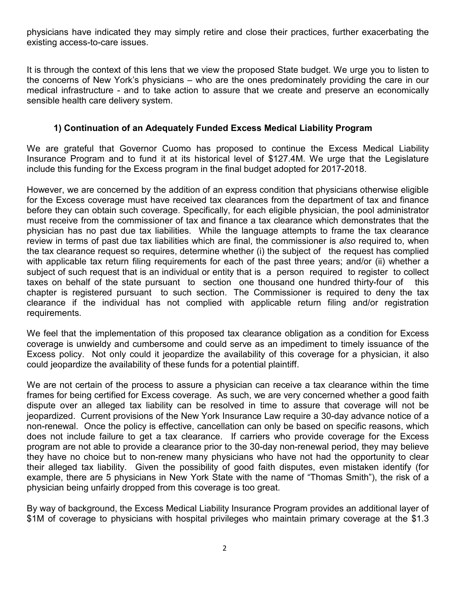physicians have indicated they may simply retire and close their practices, further exacerbating the existing access-to-care issues.

It is through the context of this lens that we view the proposed State budget. We urge you to listen to the concerns of New York's physicians – who are the ones predominately providing the care in our medical infrastructure - and to take action to assure that we create and preserve an economically sensible health care delivery system.

## **1) Continuation of an Adequately Funded Excess Medical Liability Program**

We are grateful that Governor Cuomo has proposed to continue the Excess Medical Liability Insurance Program and to fund it at its historical level of \$127.4M. We urge that the Legislature include this funding for the Excess program in the final budget adopted for 2017-2018.

However, we are concerned by the addition of an express condition that physicians otherwise eligible for the Excess coverage must have received tax clearances from the department of tax and finance before they can obtain such coverage. Specifically, for each eligible physician, the pool administrator must receive from the commissioner of tax and finance a tax clearance which demonstrates that the physician has no past due tax liabilities. While the language attempts to frame the tax clearance review in terms of past due tax liabilities which are final, the commissioner is *also* required to, when the tax clearance request so requires, determine whether (i) the subject of the request has complied with applicable tax return filing requirements for each of the past three years; and/or (ii) whether a subject of such request that is an individual or entity that is a person required to register to collect taxes on behalf of the state pursuant to section one thousand one hundred thirty-four of this chapter is registered pursuant to such section. The Commissioner is required to deny the tax clearance if the individual has not complied with applicable return filing and/or registration requirements.

We feel that the implementation of this proposed tax clearance obligation as a condition for Excess coverage is unwieldy and cumbersome and could serve as an impediment to timely issuance of the Excess policy. Not only could it jeopardize the availability of this coverage for a physician, it also could jeopardize the availability of these funds for a potential plaintiff.

We are not certain of the process to assure a physician can receive a tax clearance within the time frames for being certified for Excess coverage. As such, we are very concerned whether a good faith dispute over an alleged tax liability can be resolved in time to assure that coverage will not be jeopardized. Current provisions of the New York Insurance Law require a 30-day advance notice of a non-renewal. Once the policy is effective, cancellation can only be based on specific reasons, which does not include failure to get a tax clearance. If carriers who provide coverage for the Excess program are not able to provide a clearance prior to the 30-day non-renewal period, they may believe they have no choice but to non-renew many physicians who have not had the opportunity to clear their alleged tax liability. Given the possibility of good faith disputes, even mistaken identify (for example, there are 5 physicians in New York State with the name of "Thomas Smith"), the risk of a physician being unfairly dropped from this coverage is too great.

By way of background, the Excess Medical Liability Insurance Program provides an additional layer of \$1M of coverage to physicians with hospital privileges who maintain primary coverage at the \$1.3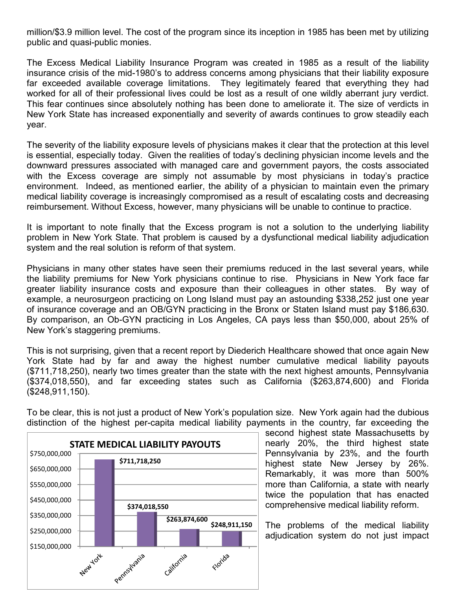million/\$3.9 million level. The cost of the program since its inception in 1985 has been met by utilizing public and quasi-public monies.

The Excess Medical Liability Insurance Program was created in 1985 as a result of the liability insurance crisis of the mid-1980's to address concerns among physicians that their liability exposure far exceeded available coverage limitations. They legitimately feared that everything they had worked for all of their professional lives could be lost as a result of one wildly aberrant jury verdict. This fear continues since absolutely nothing has been done to ameliorate it. The size of verdicts in New York State has increased exponentially and severity of awards continues to grow steadily each year.

The severity of the liability exposure levels of physicians makes it clear that the protection at this level is essential, especially today. Given the realities of today's declining physician income levels and the downward pressures associated with managed care and government payors, the costs associated with the Excess coverage are simply not assumable by most physicians in today's practice environment. Indeed, as mentioned earlier, the ability of a physician to maintain even the primary medical liability coverage is increasingly compromised as a result of escalating costs and decreasing reimbursement. Without Excess, however, many physicians will be unable to continue to practice.

It is important to note finally that the Excess program is not a solution to the underlying liability problem in New York State. That problem is caused by a dysfunctional medical liability adjudication system and the real solution is reform of that system.

Physicians in many other states have seen their premiums reduced in the last several years, while the liability premiums for New York physicians continue to rise. Physicians in New York face far greater liability insurance costs and exposure than their colleagues in other states. By way of example, a neurosurgeon practicing on Long Island must pay an astounding \$338,252 just one year of insurance coverage and an OB/GYN practicing in the Bronx or Staten Island must pay \$186,630. By comparison, an Ob-GYN practicing in Los Angeles, CA pays less than \$50,000, about 25% of New York's staggering premiums.

This is not surprising, given that a recent report by Diederich Healthcare showed that once again New York State had by far and away the highest number cumulative medical liability payouts (\$711,718,250), nearly two times greater than the state with the next highest amounts, Pennsylvania (\$374,018,550), and far exceeding states such as California (\$263,874,600) and Florida (\$248,911,150).



To be clear, this is not just a product of New York's population size. New York again had the dubious distinction of the highest per-capita medical liability payments in the country, far exceeding the

> second highest state Massachusetts by nearly 20%, the third highest state Pennsylvania by 23%, and the fourth highest state New Jersey by 26%. Remarkably, it was more than 500% more than California, a state with nearly twice the population that has enacted comprehensive medical liability reform.

> The problems of the medical liability adjudication system do not just impact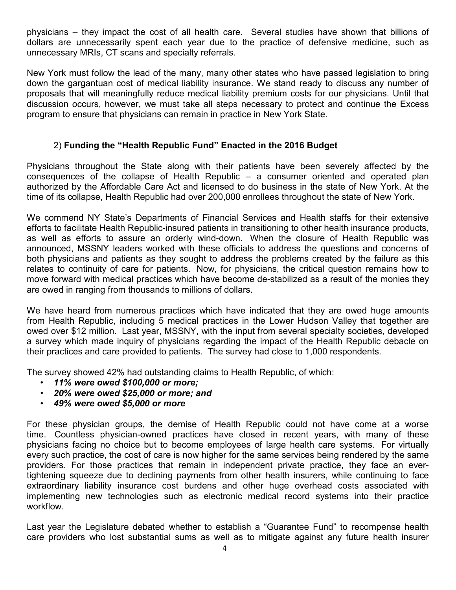physicians – they impact the cost of all health care. Several studies have shown that billions of dollars are unnecessarily spent each year due to the practice of defensive medicine, such as unnecessary MRIs, CT scans and specialty referrals.

New York must follow the lead of the many, many other states who have passed legislation to bring down the gargantuan cost of medical liability insurance. We stand ready to discuss any number of proposals that will meaningfully reduce medical liability premium costs for our physicians. Until that discussion occurs, however, we must take all steps necessary to protect and continue the Excess program to ensure that physicians can remain in practice in New York State.

#### 2) **Funding the "Health Republic Fund" Enacted in the 2016 Budget**

Physicians throughout the State along with their patients have been severely affected by the consequences of the collapse of Health Republic – a consumer oriented and operated plan authorized by the Affordable Care Act and licensed to do business in the state of New York. At the time of its collapse, Health Republic had over 200,000 enrollees throughout the state of New York.

We commend NY State's Departments of Financial Services and Health staffs for their extensive efforts to facilitate Health Republic-insured patients in transitioning to other health insurance products, as well as efforts to assure an orderly wind-down. When the closure of Health Republic was announced, MSSNY leaders worked with these officials to address the questions and concerns of both physicians and patients as they sought to address the problems created by the failure as this relates to continuity of care for patients. Now, for physicians, the critical question remains how to move forward with medical practices which have become de-stabilized as a result of the monies they are owed in ranging from thousands to millions of dollars.

We have heard from numerous practices which have indicated that they are owed huge amounts from Health Republic, including 5 medical practices in the Lower Hudson Valley that together are owed over \$12 million. Last year, MSSNY, with the input from several specialty societies, developed a survey which made inquiry of physicians regarding the impact of the Health Republic debacle on their practices and care provided to patients. The survey had close to 1,000 respondents.

The survey showed 42% had outstanding claims to Health Republic, of which:

- *11% were owed \$100,000 or more;*
- *20% were owed \$25,000 or more; and*
- *49% were owed \$5,000 or more*

For these physician groups, the demise of Health Republic could not have come at a worse time. Countless physician-owned practices have closed in recent years, with many of these physicians facing no choice but to become employees of large health care systems. For virtually every such practice, the cost of care is now higher for the same services being rendered by the same providers. For those practices that remain in independent private practice, they face an evertightening squeeze due to declining payments from other health insurers, while continuing to face extraordinary liability insurance cost burdens and other huge overhead costs associated with implementing new technologies such as electronic medical record systems into their practice workflow.

Last year the Legislature debated whether to establish a "Guarantee Fund" to recompense health care providers who lost substantial sums as well as to mitigate against any future health insurer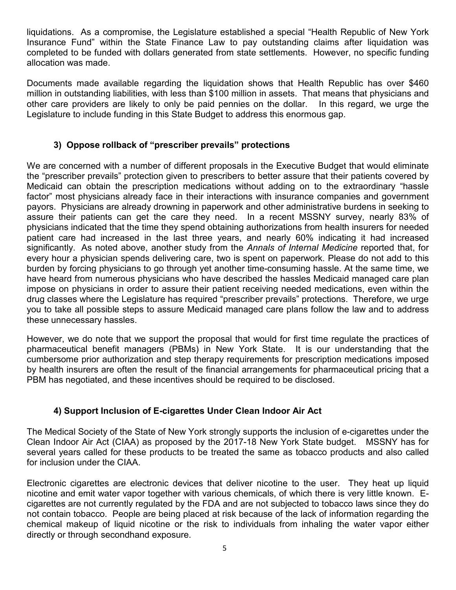liquidations. As a compromise, the Legislature established a special "Health Republic of New York Insurance Fund" within the State Finance Law to pay outstanding claims after liquidation was completed to be funded with dollars generated from state settlements. However, no specific funding allocation was made.

Documents made available regarding the liquidation shows that Health Republic has over \$460 million in outstanding liabilities, with less than \$100 million in assets. That means that physicians and other care providers are likely to only be paid pennies on the dollar. In this regard, we urge the Legislature to include funding in this State Budget to address this enormous gap.

# **3) Oppose rollback of "prescriber prevails" protections**

We are concerned with a number of different proposals in the Executive Budget that would eliminate the "prescriber prevails" protection given to prescribers to better assure that their patients covered by Medicaid can obtain the prescription medications without adding on to the extraordinary "hassle factor" most physicians already face in their interactions with insurance companies and government payors. Physicians are already drowning in paperwork and other administrative burdens in seeking to assure their patients can get the care they need. In a recent MSSNY survey, nearly 83% of physicians indicated that the time they spend obtaining authorizations from health insurers for needed patient care had increased in the last three years, and nearly 60% indicating it had increased significantly. As noted above, another study from the *Annals of Internal Medicine* reported that, for every hour a physician spends delivering care, two is spent on paperwork. Please do not add to this burden by forcing physicians to go through yet another time-consuming hassle. At the same time, we have heard from numerous physicians who have described the hassles Medicaid managed care plan impose on physicians in order to assure their patient receiving needed medications, even within the drug classes where the Legislature has required "prescriber prevails" protections. Therefore, we urge you to take all possible steps to assure Medicaid managed care plans follow the law and to address these unnecessary hassles.

However, we do note that we support the proposal that would for first time regulate the practices of pharmaceutical benefit managers (PBMs) in New York State. It is our understanding that the cumbersome prior authorization and step therapy requirements for prescription medications imposed by health insurers are often the result of the financial arrangements for pharmaceutical pricing that a PBM has negotiated, and these incentives should be required to be disclosed.

# **4) Support Inclusion of E-cigarettes Under Clean Indoor Air Act**

The Medical Society of the State of New York strongly supports the inclusion of e-cigarettes under the Clean Indoor Air Act (CIAA) as proposed by the 2017-18 New York State budget. MSSNY has for several years called for these products to be treated the same as tobacco products and also called for inclusion under the CIAA.

Electronic cigarettes are electronic devices that deliver nicotine to the user. They heat up liquid nicotine and emit water vapor together with various chemicals, of which there is very little known. Ecigarettes are not currently regulated by the FDA and are not subjected to tobacco laws since they do not contain tobacco. People are being placed at risk because of the lack of information regarding the chemical makeup of liquid nicotine or the risk to individuals from inhaling the water vapor either directly or through secondhand exposure.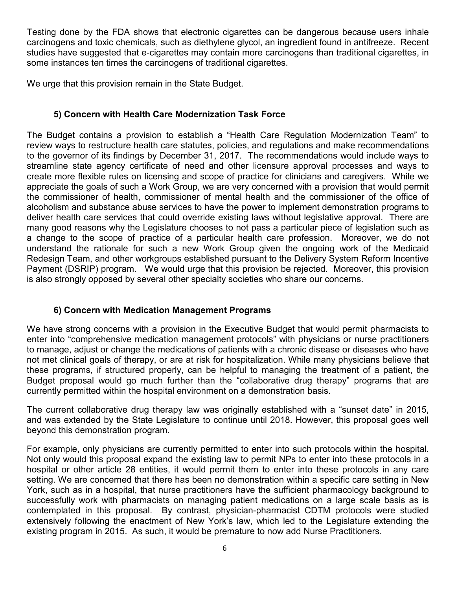Testing done by the FDA shows that electronic cigarettes can be dangerous because users inhale carcinogens and toxic chemicals, such as diethylene glycol, an ingredient found in antifreeze. Recent studies have suggested that e-cigarettes may contain more carcinogens than traditional cigarettes, in some instances ten times the carcinogens of traditional cigarettes.

We urge that this provision remain in the State Budget.

# **5) Concern with Health Care Modernization Task Force**

The Budget contains a provision to establish a "Health Care Regulation Modernization Team" to review ways to restructure health care statutes, policies, and regulations and make recommendations to the governor of its findings by December 31, 2017. The recommendations would include ways to streamline state agency certificate of need and other licensure approval processes and ways to create more flexible rules on licensing and scope of practice for clinicians and caregivers. While we appreciate the goals of such a Work Group, we are very concerned with a provision that would permit the commissioner of health, commissioner of mental health and the commissioner of the office of alcoholism and substance abuse services to have the power to implement demonstration programs to deliver health care services that could override existing laws without legislative approval. There are many good reasons why the Legislature chooses to not pass a particular piece of legislation such as a change to the scope of practice of a particular health care profession. Moreover, we do not understand the rationale for such a new Work Group given the ongoing work of the Medicaid Redesign Team, and other workgroups established pursuant to the Delivery System Reform Incentive Payment (DSRIP) program. We would urge that this provision be rejected. Moreover, this provision is also strongly opposed by several other specialty societies who share our concerns.

# **6) Concern with Medication Management Programs**

We have strong concerns with a provision in the Executive Budget that would permit pharmacists to enter into "comprehensive medication management protocols" with physicians or nurse practitioners to manage, adjust or change the medications of patients with a chronic disease or diseases who have not met clinical goals of therapy, or are at risk for hospitalization. While many physicians believe that these programs, if structured properly, can be helpful to managing the treatment of a patient, the Budget proposal would go much further than the "collaborative drug therapy" programs that are currently permitted within the hospital environment on a demonstration basis.

The current collaborative drug therapy law was originally established with a "sunset date" in 2015, and was extended by the State Legislature to continue until 2018. However, this proposal goes well beyond this demonstration program.

For example, only physicians are currently permitted to enter into such protocols within the hospital. Not only would this proposal expand the existing law to permit NPs to enter into these protocols in a hospital or other article 28 entities, it would permit them to enter into these protocols in any care setting. We are concerned that there has been no demonstration within a specific care setting in New York, such as in a hospital, that nurse practitioners have the sufficient pharmacology background to successfully work with pharmacists on managing patient medications on a large scale basis as is contemplated in this proposal. By contrast, physician-pharmacist CDTM protocols were studied extensively following the enactment of New York's law, which led to the Legislature extending the existing program in 2015. As such, it would be premature to now add Nurse Practitioners.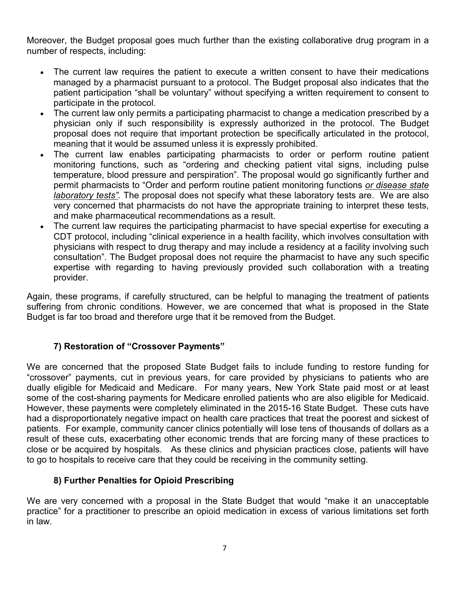Moreover, the Budget proposal goes much further than the existing collaborative drug program in a number of respects, including:

- The current law requires the patient to execute a written consent to have their medications managed by a pharmacist pursuant to a protocol. The Budget proposal also indicates that the patient participation "shall be voluntary" without specifying a written requirement to consent to participate in the protocol.
- The current law only permits a participating pharmacist to change a medication prescribed by a physician only if such responsibility is expressly authorized in the protocol. The Budget proposal does not require that important protection be specifically articulated in the protocol, meaning that it would be assumed unless it is expressly prohibited.
- The current law enables participating pharmacists to order or perform routine patient monitoring functions, such as "ordering and checking patient vital signs, including pulse temperature, blood pressure and perspiration". The proposal would go significantly further and permit pharmacists to "Order and perform routine patient monitoring functions *or disease state laboratory tests".* The proposal does not specify what these laboratory tests are. We are also very concerned that pharmacists do not have the appropriate training to interpret these tests, and make pharmaceutical recommendations as a result.
- The current law requires the participating pharmacist to have special expertise for executing a CDT protocol, including "clinical experience in a health facility, which involves consultation with physicians with respect to drug therapy and may include a residency at a facility involving such consultation". The Budget proposal does not require the pharmacist to have any such specific expertise with regarding to having previously provided such collaboration with a treating provider.

Again, these programs, if carefully structured, can be helpful to managing the treatment of patients suffering from chronic conditions. However, we are concerned that what is proposed in the State Budget is far too broad and therefore urge that it be removed from the Budget.

## **7) Restoration of "Crossover Payments"**

We are concerned that the proposed State Budget fails to include funding to restore funding for "crossover" payments, cut in previous years, for care provided by physicians to patients who are dually eligible for Medicaid and Medicare. For many years, New York State paid most or at least some of the cost-sharing payments for Medicare enrolled patients who are also eligible for Medicaid. However, these payments were completely eliminated in the 2015-16 State Budget. These cuts have had a disproportionately negative impact on health care practices that treat the poorest and sickest of patients. For example, community cancer clinics potentially will lose tens of thousands of dollars as a result of these cuts, exacerbating other economic trends that are forcing many of these practices to close or be acquired by hospitals. As these clinics and physician practices close, patients will have to go to hospitals to receive care that they could be receiving in the community setting.

## **8) Further Penalties for Opioid Prescribing**

We are very concerned with a proposal in the State Budget that would "make it an unacceptable practice" for a practitioner to prescribe an opioid medication in excess of various limitations set forth in law.